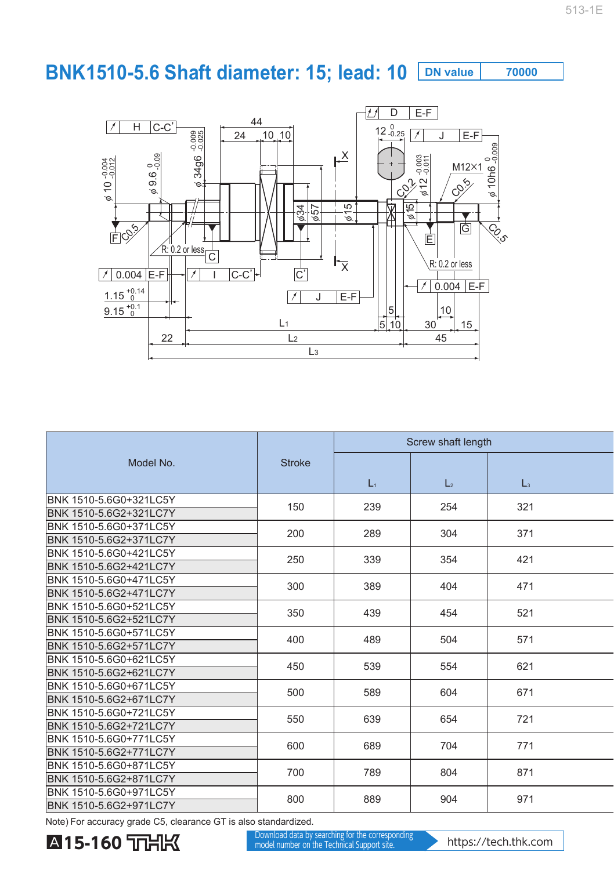## **BNK1510-5.6 Shaft diameter: 15; lead: 10 DN value 70000**



|                                                  |               | Screw shaft length |                |                |  |
|--------------------------------------------------|---------------|--------------------|----------------|----------------|--|
| Model No.                                        | <b>Stroke</b> |                    |                |                |  |
|                                                  |               | $L_1$              | L <sub>2</sub> | $\mathsf{L}_3$ |  |
| BNK 1510-5.6G0+321LC5Y                           | 150           | 239                | 254            | 321            |  |
| BNK 1510-5.6G2+321LC7Y                           |               |                    |                |                |  |
| BNK 1510-5.6G0+371LC5Y                           | 200           | 289                | 304            | 371            |  |
| BNK 1510-5.6G2+371LC7Y                           |               |                    |                |                |  |
| BNK 1510-5.6G0+421LC5Y                           | 250           | 339                | 354            | 421            |  |
| BNK 1510-5.6G2+421LC7Y                           |               |                    |                |                |  |
| BNK 1510-5.6G0+471LC5Y                           | 300           | 389                | 404            | 471            |  |
| BNK 1510-5.6G2+471LC7Y                           |               |                    |                |                |  |
| BNK 1510-5.6G0+521LC5Y                           | 350           | 439                | 454            | 521            |  |
| BNK 1510-5.6G2+521LC7Y                           |               |                    |                |                |  |
| BNK 1510-5.6G0+571LC5Y                           | 400           | 489                | 504            | 571            |  |
| BNK 1510-5.6G2+571LC7Y                           |               |                    |                |                |  |
| BNK 1510-5.6G0+621LC5Y                           | 450           | 539                | 554            | 621            |  |
| BNK 1510-5.6G2+621LC7Y                           |               |                    |                |                |  |
| BNK 1510-5.6G0+671LC5Y                           | 500           | 589                | 604            | 671            |  |
| BNK 1510-5.6G2+671LC7Y<br>BNK 1510-5.6G0+721LC5Y |               |                    |                |                |  |
|                                                  | 550           | 639<br>689         | 654<br>704     | 721            |  |
| BNK 1510-5.6G2+721LC7Y<br>BNK 1510-5.6G0+771LC5Y |               |                    |                |                |  |
| BNK 1510-5.6G2+771LC7Y                           | 600           |                    |                | 771            |  |
| BNK 1510-5.6G0+871LC5Y                           |               | 789                | 804            |                |  |
| BNK 1510-5.6G2+871LC7Y                           | 700           |                    |                | 871            |  |
| BNK 1510-5.6G0+971LC5Y                           |               | 889                | 904            |                |  |
| BNK 1510-5.6G2+971LC7Y                           | 800           |                    |                | 971            |  |
|                                                  |               |                    |                |                |  |

Note) For accuracy grade C5, clearance GT is also standardized.

**A15-160** THK **Matter and Supports on the Technical Support site.** https://tech.thk.com